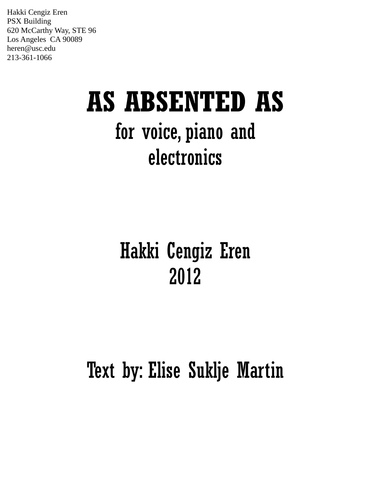Hakki Cengiz Eren PSX Building 620 McCarthy Way, STE 96 Los Angeles CA 90089 heren@usc.edu 213-361-1066

# **AS ABSENTED AS** for voice, piano and electronics

## Hakki Cengiz Eren 2012

## Text by: Elise Suklje Martin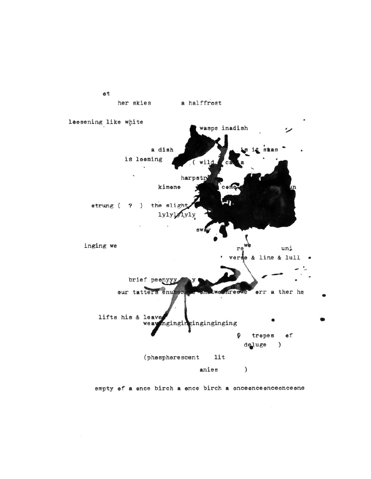

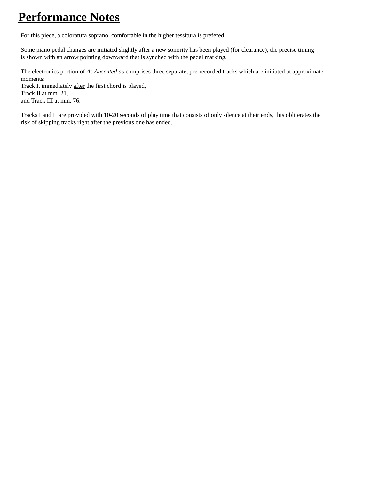### **Performance Notes**

For this piece, a coloratura soprano, comfortable in the higher tessitura is prefered.

Some piano pedal changes are initiated slightly after a new sonority has been played (for clearance), the precise timing is shown with an arrow pointing downward that is synched with the pedal marking.

The electronics portion of *As Absented as* comprises three separate, pre-recorded tracks which are initiated at approximate moments:

Track I, immediately after the first chord is played, Track II at mm. 21, and Track III at mm. 76.

Tracks I and II are provided with 10-20 seconds of play time that consists of only silence at their ends, this obliterates the risk of skipping tracks right after the previous one has ended.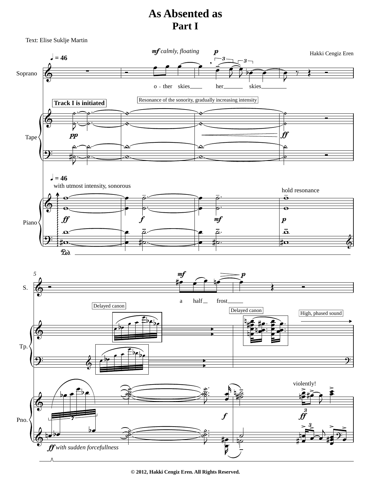#### **As Absented as Part I**

Text: Elise Suklje Martin

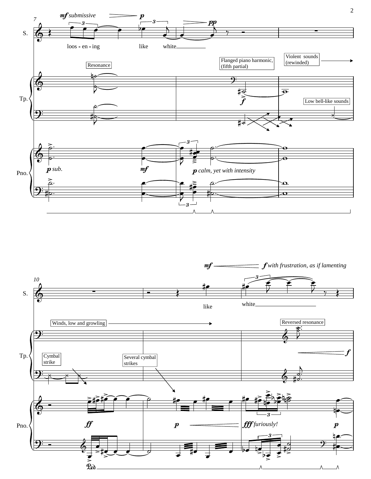

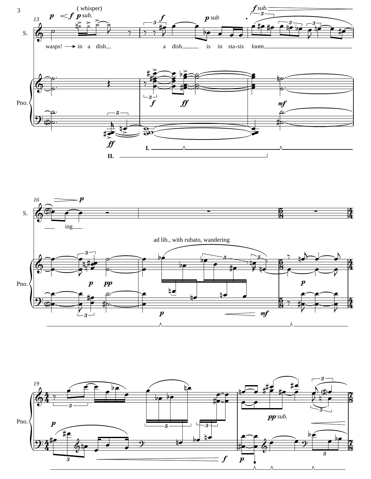



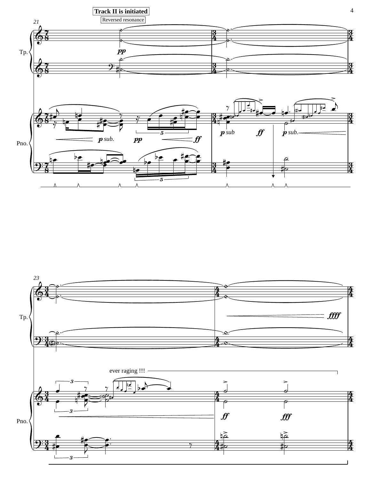

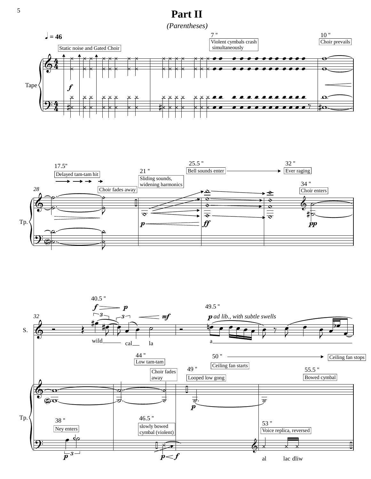#### **Part II**







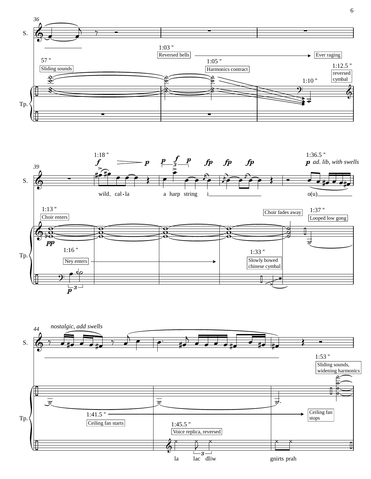



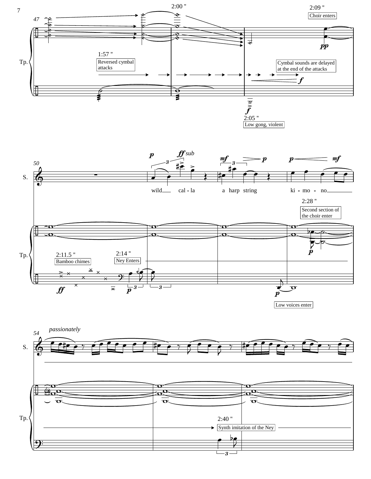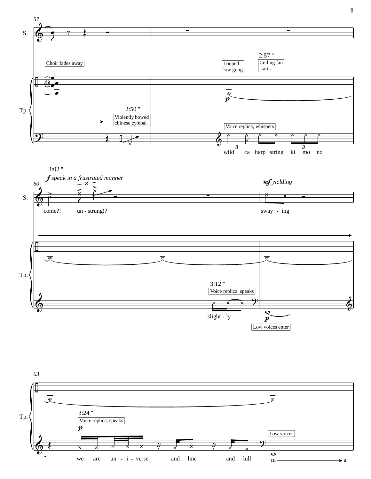

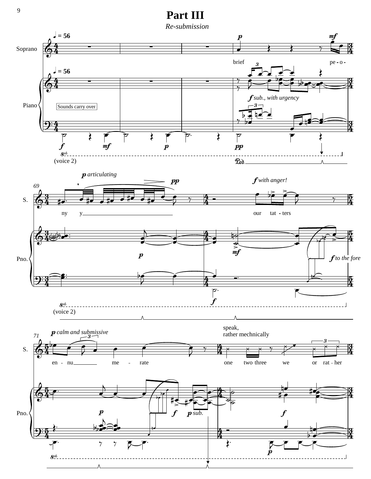### **Part III**

 *Re-submission*

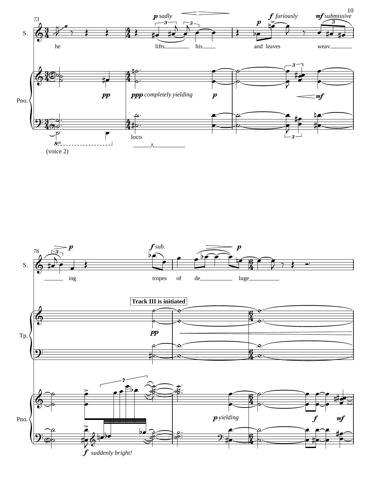